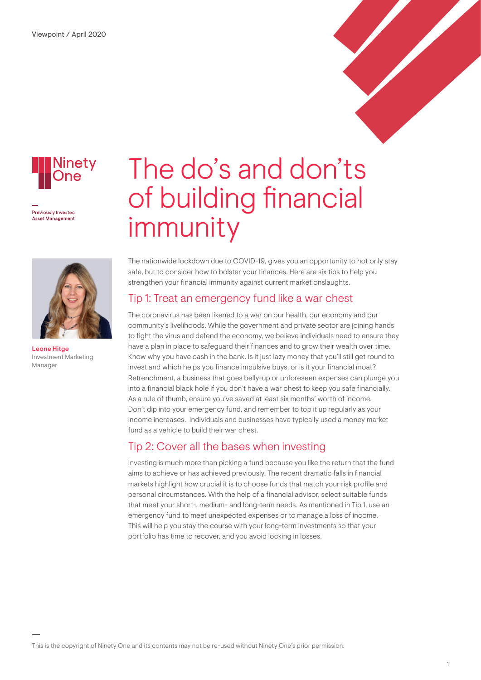

Previously Invested **Asset Management** 



Leone Hitge Investment Marketing Manager

# The do's and don'ts of building financial immunity

The nationwide lockdown due to COVID-19, gives you an opportunity to not only stay safe, but to consider how to bolster your finances. Here are six tips to help you strengthen your financial immunity against current market onslaughts.

### Tip 1: Treat an emergency fund like a war chest

The coronavirus has been likened to a war on our health, our economy and our community's livelihoods. While the government and private sector are joining hands to fight the virus and defend the economy, we believe individuals need to ensure they have a plan in place to safeguard their finances and to grow their wealth over time. Know why you have cash in the bank. Is it just lazy money that you'll still get round to invest and which helps you finance impulsive buys, or is it your financial moat? Retrenchment, a business that goes belly-up or unforeseen expenses can plunge you into a financial black hole if you don't have a war chest to keep you safe financially. As a rule of thumb, ensure you've saved at least six months' worth of income. Don't dip into your emergency fund, and remember to top it up regularly as your income increases. Individuals and businesses have typically used a money market fund as a vehicle to build their war chest.

### Tip 2: Cover all the bases when investing

Investing is much more than picking a fund because you like the return that the fund aims to achieve or has achieved previously. The recent dramatic falls in financial markets highlight how crucial it is to choose funds that match your risk profile and personal circumstances. With the help of a financial advisor, select suitable funds that meet your short-, medium- and long-term needs. As mentioned in Tip 1, use an emergency fund to meet unexpected expenses or to manage a loss of income. This will help you stay the course with your long-term investments so that your portfolio has time to recover, and you avoid locking in losses.

This is the copyright of Ninety One and its contents may not be re-used without Ninety One's prior permission.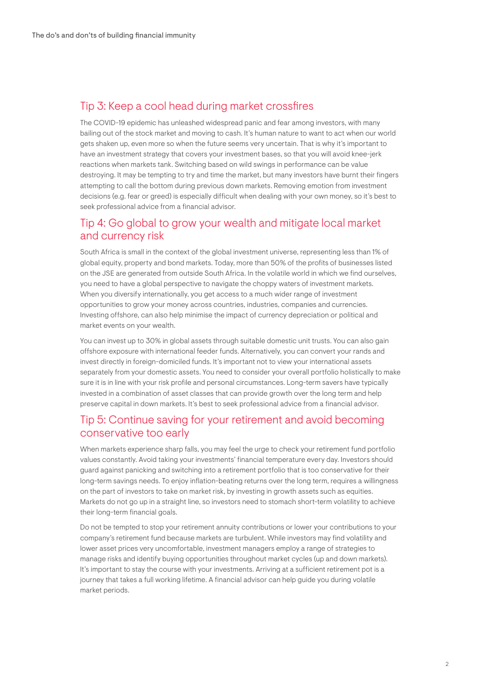## Tip 3: Keep a cool head during market crossfires

The COVID-19 epidemic has unleashed widespread panic and fear among investors, with many bailing out of the stock market and moving to cash. It's human nature to want to act when our world gets shaken up, even more so when the future seems very uncertain. That is why it's important to have an investment strategy that covers your investment bases, so that you will avoid knee-jerk reactions when markets tank. Switching based on wild swings in performance can be value destroying. It may be tempting to try and time the market, but many investors have burnt their fingers attempting to call the bottom during previous down markets. Removing emotion from investment decisions (e.g. fear or greed) is especially difficult when dealing with your own money, so it's best to seek professional advice from a financial advisor.

### Tip 4: Go global to grow your wealth and mitigate local market and currency risk

South Africa is small in the context of the global investment universe, representing less than 1% of global equity, property and bond markets. Today, more than 50% of the profits of businesses listed on the JSE are generated from outside South Africa. In the volatile world in which we find ourselves, you need to have a global perspective to navigate the choppy waters of investment markets. When you diversify internationally, you get access to a much wider range of investment opportunities to grow your money across countries, industries, companies and currencies. Investing offshore, can also help minimise the impact of currency depreciation or political and market events on your wealth.

You can invest up to 30% in global assets through suitable domestic unit trusts. You can also gain offshore exposure with international feeder funds. Alternatively, you can convert your rands and invest directly in foreign-domiciled funds. It's important not to view your international assets separately from your domestic assets. You need to consider your overall portfolio holistically to make sure it is in line with your risk profile and personal circumstances. Long-term savers have typically invested in a combination of asset classes that can provide growth over the long term and help preserve capital in down markets. It's best to seek professional advice from a financial advisor.

#### Tip 5: Continue saving for your retirement and avoid becoming conservative too early

When markets experience sharp falls, you may feel the urge to check your retirement fund portfolio values constantly. Avoid taking your investments' financial temperature every day. Investors should guard against panicking and switching into a retirement portfolio that is too conservative for their long-term savings needs. To enjoy inflation-beating returns over the long term, requires a willingness on the part of investors to take on market risk, by investing in growth assets such as equities. Markets do not go up in a straight line, so investors need to stomach short-term volatility to achieve their long-term financial goals.

Do not be tempted to stop your retirement annuity contributions or lower your contributions to your company's retirement fund because markets are turbulent. While investors may find volatility and lower asset prices very uncomfortable, investment managers employ a range of strategies to manage risks and identify buying opportunities throughout market cycles (up and down markets). It's important to stay the course with your investments. Arriving at a sufficient retirement pot is a journey that takes a full working lifetime. A financial advisor can help guide you during volatile market periods.